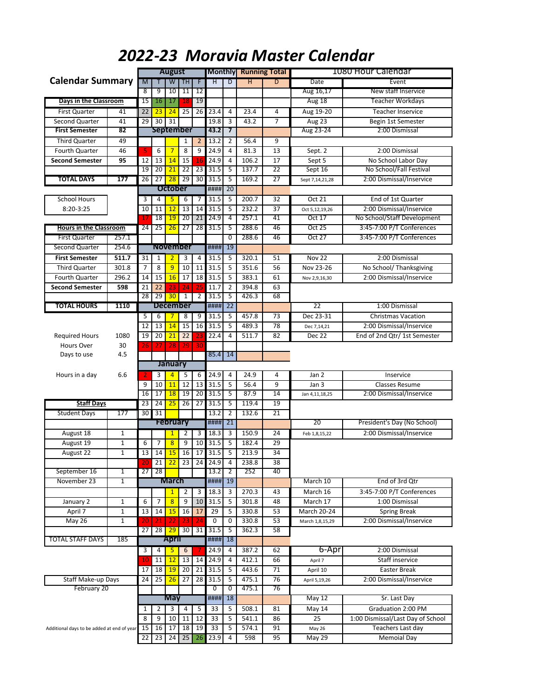|                                            |                     |                 |                 | <b>August</b>   |                  |                 |                 |         | <b>Monthly Running Total</b> |                 |                 | 1080 Hour Calendar                |
|--------------------------------------------|---------------------|-----------------|-----------------|-----------------|------------------|-----------------|-----------------|---------|------------------------------|-----------------|-----------------|-----------------------------------|
| <b>Calendar Summary</b>                    |                     | M               |                 | W               | TH               | F               | Ή               | D       | Η                            | D               | Date            | Event                             |
|                                            |                     | 8               | 9               | 10              | 11               | 12              |                 |         |                              |                 | Aug 16,17       | New staff Inservice               |
| Days in the Classroom                      |                     | 15              | 16              | 17              | 18               | 19              |                 |         |                              |                 | Aug 18          | Teacher Workdays                  |
| <b>First Quarter</b>                       | 41                  | 22              | 23              | 24              | 25               | 26              | 23.4            | 4       | 23.4                         | 4               | Aug 19-20       | <b>Teacher Inservice</b>          |
| Second Quarter                             | 41                  | 29              | 30              | 31              |                  |                 | 19.8            | 3       | 43.2                         | $\overline{7}$  | Aug 23          | Begin 1st Semester                |
| <b>First Semester</b>                      | 82                  |                 |                 |                 | <b>September</b> |                 | 43.2            | 7       |                              |                 | Aug 23-24       | 2:00 Dismissal                    |
| <b>Third Quarter</b>                       | 49                  |                 |                 |                 | 1                | $\overline{2}$  | 13.2            | 2       | 56.4                         | 9               |                 |                                   |
| Fourth Quarter                             | 46                  | 5               | 6               | $\overline{7}$  | 8                | 9               | 24.9            | 4       | 81.3                         | 13              | Sept. 2         | 2:00 Dismissal                    |
| <b>Second Semester</b>                     | 95                  | 12              | 13              | 14              | 15               | 16              | 24.9            | 4       | 106.2                        | 17              | Sept 5          | No School Labor Day               |
|                                            |                     | 19              | 20              | 21              | 22               | 23              | 31.5            | 5       | 137.7                        | 22              | Sept 16         | No School/Fall Festival           |
| <b>TOTAL DAYS</b>                          | 177                 | 26              | 27              | 28              | 29               | 30              | 31.5            | 5       | 169.2                        | 27              | Sept 7,14,21,28 | 2:00 Dismissal/Inservice          |
|                                            |                     |                 |                 | <b>October</b>  |                  |                 | ####            | 20      |                              |                 |                 |                                   |
| <b>School Hours</b>                        |                     | 3               | 4               | 5               | 6                | 7               | 31.5            | 5       | 200.7                        | 32              | Oct 21          | End of 1st Quarter                |
| 8:20-3:25                                  |                     | 10              | 11              | 12              | 13               | 14              | 31.5            | 5       | 232.2                        | 37              | Oct 5,12,19,26  | 2:00 Dismissal/Inservice          |
|                                            |                     |                 | 18              | 19              | 20               | 21              | 24.9            | 4       | 257.1                        | 41              | <b>Oct 17</b>   | No School/Staff Development       |
| <b>Hours in the Classroom</b>              |                     | 24              | 25              | 26              | 27               | 28              | 31.5            | 5       | 288.6                        | 46              | <b>Oct 25</b>   | 3:45-7:00 P/T Conferences         |
|                                            |                     |                 |                 |                 |                  |                 |                 |         | 288.6                        | 46              | Oct $27$        |                                   |
| <b>First Quarter</b>                       | 257.1               |                 |                 |                 |                  |                 |                 | 0<br>19 |                              |                 |                 | 3:45-7:00 P/T Conferences         |
| <b>Second Quarter</b>                      | 254.6               |                 |                 | <b>November</b> |                  |                 | ####            |         |                              |                 |                 |                                   |
| <b>First Semester</b>                      | 511.7               | 31              | 1               | $\overline{2}$  | 3                | $\overline{a}$  | 31.5            | 5       | 320.1                        | 51              | <b>Nov 22</b>   | 2:00 Dismissal                    |
| <b>Third Quarter</b>                       | 301.8               | 7               | 8               | 9               | 10               | 11              | 31.5            | 5       | 351.6                        | 56              | Nov 23-26       | No School/ Thanksgiving           |
| <b>Fourth Quarter</b>                      | 296.2               | 14              | 15              | 16              | 17               | 18              | 31.5            | 5       | 383.1                        | 61              | Nov 2,9,16,30   | 2:00 Dismissal/Inservice          |
| <b>Second Semester</b>                     | 598                 | 21              | 22              | 23              | 24               | 25              | 11.7            | 2       | 394.8                        | 63              |                 |                                   |
|                                            |                     | 28              | 29              | 30              | $\overline{1}$   | $\overline{2}$  | 31.5            | 5       | 426.3                        | 68              |                 |                                   |
| <b>TOTAL HOURS</b>                         | 1110                |                 |                 | December        |                  |                 | ####            | 22      |                              |                 | 22              | 1:00 Dismissal                    |
|                                            |                     | 5               | 6               | 7               | 8                | 9               | 31.5            | 5       | 457.8                        | 73              | Dec 23-31       | <b>Christmas Vacation</b>         |
|                                            |                     | 12              | 13              | 14              | 15               | 16              | 31.5            | 5       | 489.3                        | 78              | Dec 7,14,21     | 2:00 Dismissal/Inservice          |
| <b>Required Hours</b>                      | 1080                | 19              | 20              | 21              | 22               | 23              | 22.4            | 4       | 511.7                        | 82              | Dec 22          | End of 2nd Qtr/ 1st Semester      |
| Hours Over                                 | 30                  | 26              | 27              | 28              | 29               | 30              |                 |         |                              |                 |                 |                                   |
| Days to use                                | 4.5                 |                 |                 |                 |                  |                 | 85.4            | 14      |                              |                 |                 |                                   |
|                                            |                     |                 |                 | January         |                  |                 |                 |         |                              |                 |                 |                                   |
| Hours in a day                             | 6.6                 |                 | 3               | $\overline{4}$  | 5                | 6               | 24.9            | 4       | 24.9                         | 4               | Jan 2           | Inservice                         |
|                                            |                     | 9               | 10              | 11              | 12               | 13              | 31.5            | 5       | 56.4                         | 9               | Jan 3           | <b>Classes Resume</b>             |
|                                            |                     | 16              | 17              | 18              | 19               | 20              | 31.5            | 5       | 87.9                         | 14              | Jan 4,11,18,25  | 2:00 Dismissal/Inservice          |
| <b>Staff Days</b>                          |                     | 23              | 24              | 25              | 26               | 27              | 31.5            | 5       | 119.4                        | 19              |                 |                                   |
| <b>Student Days</b>                        | 177                 | 30              | 31              |                 |                  |                 | 13.2            | 2       | 132.6                        | 21              |                 |                                   |
|                                            |                     |                 |                 | <b>February</b> |                  |                 | ####            | 21      |                              |                 | 20              | President's Day (No School)       |
| August 18                                  | $\mathbf{1}$        |                 |                 | $\mathbf{1}$    | 2                | 3               | 18.3            | 3       | 150.9                        | 24              | Feb 1,8,15,22   | 2:00 Dismissal/Inservice          |
| August 19                                  | 1                   | 6               | 7               | $\overline{8}$  | 9                | 10              | 31.5            | 5       | 182.4                        | 29              |                 |                                   |
| August 22                                  | $\mathbf{1}$        | 13              | 14              | 15              | 16               | 17              | 31.5            | 5       | 213.9                        | 34              |                 |                                   |
|                                            |                     |                 |                 |                 |                  |                 |                 |         |                              |                 |                 |                                   |
| September 16                               |                     | 20<br>27        | 21<br>28        |                 | $22$ 23          |                 | 24 24.9<br>13.2 | 4       | 238.8<br>252                 | 38<br>40        |                 |                                   |
| November 23                                | 1<br>$\overline{1}$ |                 |                 | <b>March</b>    |                  |                 |                 | 2<br>19 |                              |                 |                 |                                   |
|                                            |                     |                 |                 |                 |                  |                 | ####            |         |                              |                 | March 10        | End of 3rd Qtr                    |
|                                            |                     |                 |                 | $\mathbf{1}$    | 2                | 3               | 18.3            | 3       | 270.3                        | 43              | March 16        | 3:45-7:00 P/T Conferences         |
| January 2                                  | $\mathbf 1$         | 6               | 7               | $\overline{8}$  | 9                | 10              | 31.5            | 5       | 301.8                        | 48              | March 17        | 1:00 Dismissal                    |
| April 7                                    | $\mathbf 1$         | 13              | 14              | 15              | 16               | 17              | 29              | 5       | 330.8                        | 53              | March 20-24     | <b>Spring Break</b>               |
| <b>May 26</b>                              | $\mathbf{1}$        | 20              | 21              | 22              | 23               | 24              | 0               | 0       | 330.8                        | 53              | March 1,8,15,29 | 2:00 Dismissal/Inservice          |
|                                            |                     | 27              | 28              | 29              | 30               | 31              | 31.5            | 5       | 362.3                        | 58              |                 |                                   |
| <b>TOTAL STAFF DAYS</b>                    | 185                 |                 |                 | <b>April</b>    |                  |                 | ####            | 18      |                              |                 |                 |                                   |
|                                            |                     | 3               | 4               | 5               | 6                |                 | 24.9            | 4       | 387.2                        | 62              | 6-Apr           | 2:00 Dismissal                    |
|                                            |                     | 10              | 11              | 12              | 13               | 14              | 24.9            | 4       | 412.1                        | 66              | April 7         | Staff inservice                   |
|                                            |                     | 17              | 18              | 19              | 20               | $\overline{21}$ | 31.5            | 5       | 443.6                        | 71              | April 10        | Easter Break                      |
| Staff Make-up Days                         |                     | 24              | $\overline{25}$ | 26              | 27               | 28              | 31.5            | 5       | 475.1                        | 76              | April 5,19,26   | 2:00 Dismissal/Inservice          |
| February 20                                |                     |                 |                 |                 |                  |                 | 0               | 0       | 475.1                        | $\overline{76}$ |                 |                                   |
|                                            |                     |                 |                 | <b>May</b>      |                  |                 | ####            | 18      |                              |                 | May 12          | Sr. Last Day                      |
|                                            |                     | 1               | 2               | 3               | 4                | 5               | 33              | 5       | 508.1                        | 81              | May 14          | Graduation 2:00 PM                |
|                                            |                     | 8               | 9               | 10              | 11               | 12              | 33              | 5       | 541.1                        | 86              | 25              | 1:00 Dismissal/Last Day of School |
| Additional days to be added at end of year |                     | 15              | 16              | 17              | 18               | 19              | 33              | 5       | 574.1                        | 91              | May 26          | Teachers Last day                 |
|                                            |                     | $\overline{22}$ | 23              | 24              | 25               | 26              | 23.9            | 4       | 598                          | 95              | May 29          | Memoial Day                       |
|                                            |                     |                 |                 |                 |                  |                 |                 |         |                              |                 |                 |                                   |

## *2022-23 Moravia Master Calendar*